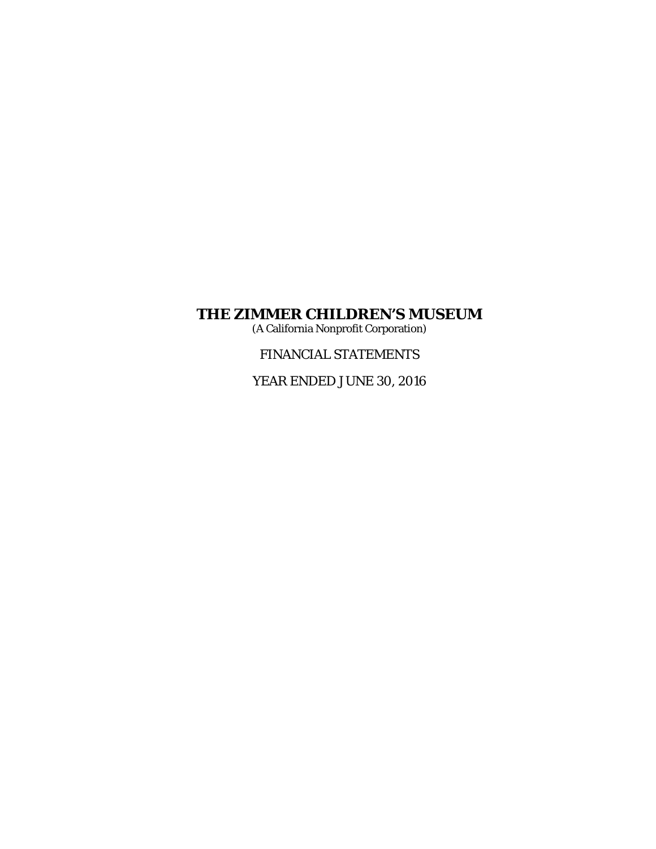(A California Nonprofit Corporation)

FINANCIAL STATEMENTS

YEAR ENDED JUNE 30, 2016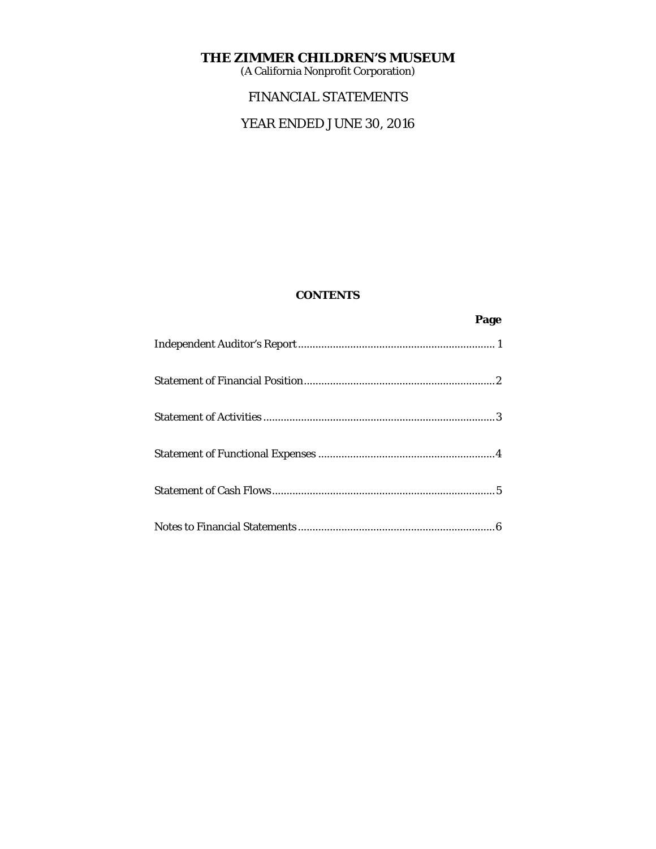(A California Nonprofit Corporation)

# FINANCIAL STATEMENTS

# YEAR ENDED JUNE 30, 2016

# **CONTENTS**

**Page 2 Page 2**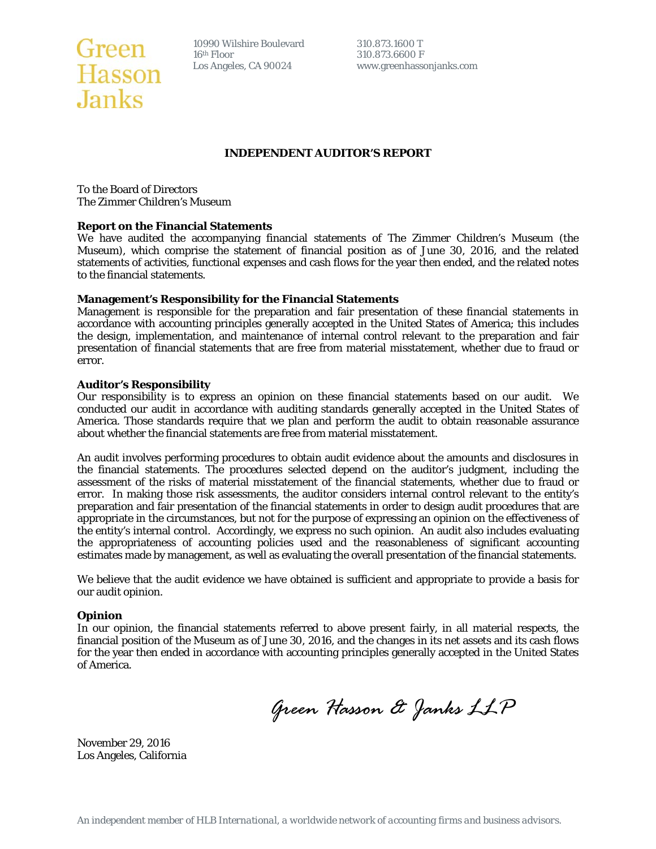# Green 10990 Wilshire Boulevard<br>
Hasson Los Angeles, CA 90024 **Janks**

10990 Wilshire Boulevard 310.873.1600 T<br>16<sup>th</sup> Floor 310.873.6600 F

www.greenhassonjanks.com

# **INDEPENDENT AUDITOR'S REPORT**

To the Board of Directors The Zimmer Children's Museum

#### **Report on the Financial Statements**

We have audited the accompanying financial statements of The Zimmer Children's Museum (the Museum), which comprise the statement of financial position as of June 30, 2016, and the related statements of activities, functional expenses and cash flows for the year then ended, and the related notes to the financial statements.

#### **Management's Responsibility for the Financial Statements**

Management is responsible for the preparation and fair presentation of these financial statements in accordance with accounting principles generally accepted in the United States of America; this includes the design, implementation, and maintenance of internal control relevant to the preparation and fair presentation of financial statements that are free from material misstatement, whether due to fraud or error.

#### **Auditor's Responsibility**

Our responsibility is to express an opinion on these financial statements based on our audit. We conducted our audit in accordance with auditing standards generally accepted in the United States of America. Those standards require that we plan and perform the audit to obtain reasonable assurance about whether the financial statements are free from material misstatement.

An audit involves performing procedures to obtain audit evidence about the amounts and disclosures in the financial statements. The procedures selected depend on the auditor's judgment, including the assessment of the risks of material misstatement of the financial statements, whether due to fraud or error. In making those risk assessments, the auditor considers internal control relevant to the entity's preparation and fair presentation of the financial statements in order to design audit procedures that are appropriate in the circumstances, but not for the purpose of expressing an opinion on the effectiveness of the entity's internal control. Accordingly, we express no such opinion. An audit also includes evaluating the appropriateness of accounting policies used and the reasonableness of significant accounting estimates made by management, as well as evaluating the overall presentation of the financial statements.

We believe that the audit evidence we have obtained is sufficient and appropriate to provide a basis for our audit opinion.

#### **Opinion**

In our opinion, the financial statements referred to above present fairly, in all material respects, the financial position of the Museum as of June 30, 2016, and the changes in its net assets and its cash flows for the year then ended in accordance with accounting principles generally accepted in the United States of America.

*Green Hasson & Janks LLP* 

November 29, 2016 Los Angeles, California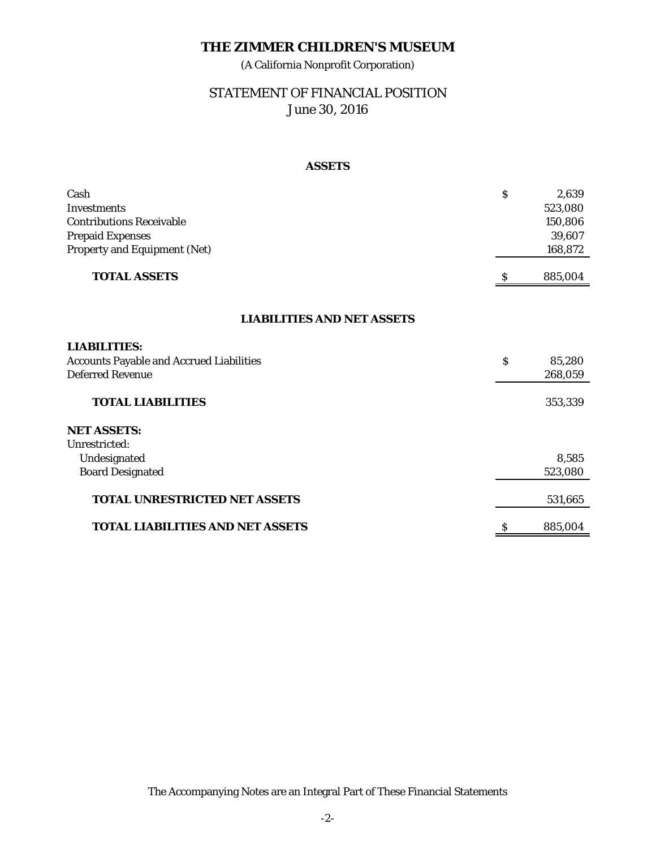(A California Nonprofit Corporation)

# STATEMENT OF FINANCIAL POSITION June 30, 2016

# **ASSETS**

| Cash                                            | $\mathsf{S}$ | 2,639   |
|-------------------------------------------------|--------------|---------|
| <b>Investments</b>                              |              | 523,080 |
| <b>Contributions Receivable</b>                 |              | 150,806 |
| <b>Prepaid Expenses</b>                         |              | 39,607  |
| <b>Property and Equipment (Net)</b>             |              | 168,872 |
| <b>TOTAL ASSETS</b>                             |              | 885,004 |
|                                                 |              |         |
| <b>LIABILITIES AND NET ASSETS</b>               |              |         |
| <b>LIABILITIES:</b>                             |              |         |
| <b>Accounts Payable and Accrued Liabilities</b> | \$           | 85,280  |
| <b>Deferred Revenue</b>                         |              | 268,059 |
| <b>TOTAL LIABILITIES</b>                        |              | 353,339 |
| <b>NET ASSETS:</b>                              |              |         |
| Unrestricted:                                   |              |         |
| Undesignated                                    |              | 8,585   |
| <b>Board Designated</b>                         |              | 523,080 |
| <b>TOTAL UNRESTRICTED NET ASSETS</b>            |              | 531,665 |
| <b>TOTAL LIABILITIES AND NET ASSETS</b>         | \$           | 885,004 |

The Accompanying Notes are an Integral Part of These Financial Statements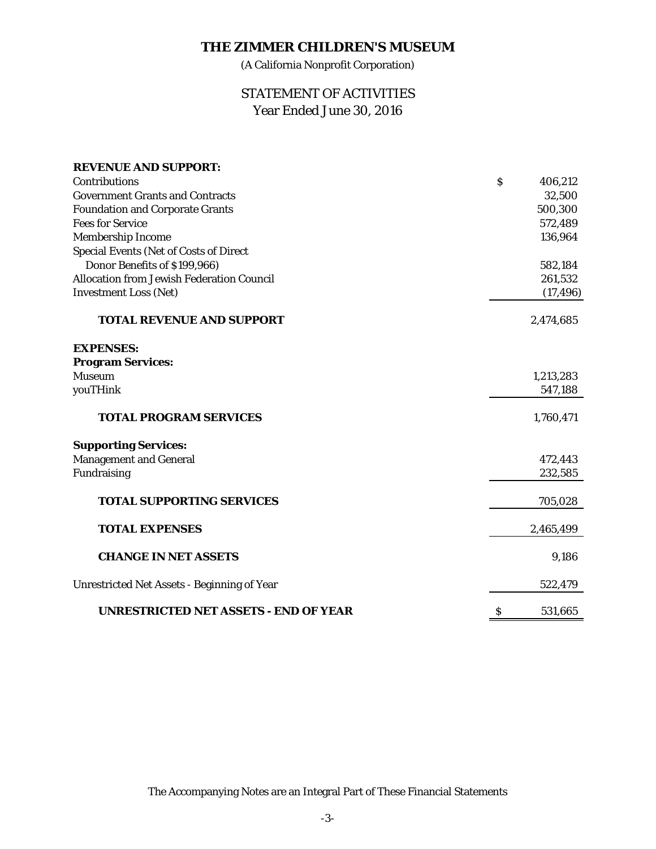(A California Nonprofit Corporation)

# STATEMENT OF ACTIVITIES Year Ended June 30, 2016

| <b>REVENUE AND SUPPORT:</b>                        |                           |           |
|----------------------------------------------------|---------------------------|-----------|
| Contributions                                      | $\boldsymbol{\mathsf{S}}$ | 406,212   |
| <b>Government Grants and Contracts</b>             |                           | 32,500    |
| <b>Foundation and Corporate Grants</b>             |                           | 500,300   |
| <b>Fees for Service</b>                            |                           | 572,489   |
| Membership Income                                  |                           | 136,964   |
| <b>Special Events (Net of Costs of Direct</b>      |                           |           |
| Donor Benefits of \$199,966)                       |                           | 582,184   |
| <b>Allocation from Jewish Federation Council</b>   |                           | 261,532   |
| <b>Investment Loss (Net)</b>                       |                           | (17, 496) |
| <b>TOTAL REVENUE AND SUPPORT</b>                   |                           | 2,474,685 |
| <b>EXPENSES:</b>                                   |                           |           |
| <b>Program Services:</b>                           |                           |           |
| <b>Museum</b>                                      |                           | 1,213,283 |
| youTHink                                           |                           | 547,188   |
| <b>TOTAL PROGRAM SERVICES</b>                      |                           | 1,760,471 |
| <b>Supporting Services:</b>                        |                           |           |
| <b>Management and General</b>                      |                           | 472,443   |
| Fundraising                                        |                           | 232,585   |
| <b>TOTAL SUPPORTING SERVICES</b>                   |                           | 705,028   |
| <b>TOTAL EXPENSES</b>                              |                           | 2,465,499 |
| <b>CHANGE IN NET ASSETS</b>                        |                           | 9,186     |
| <b>Unrestricted Net Assets - Beginning of Year</b> |                           | 522,479   |
| <b>UNRESTRICTED NET ASSETS - END OF YEAR</b>       | \$                        | 531,665   |

The Accompanying Notes are an Integral Part of These Financial Statements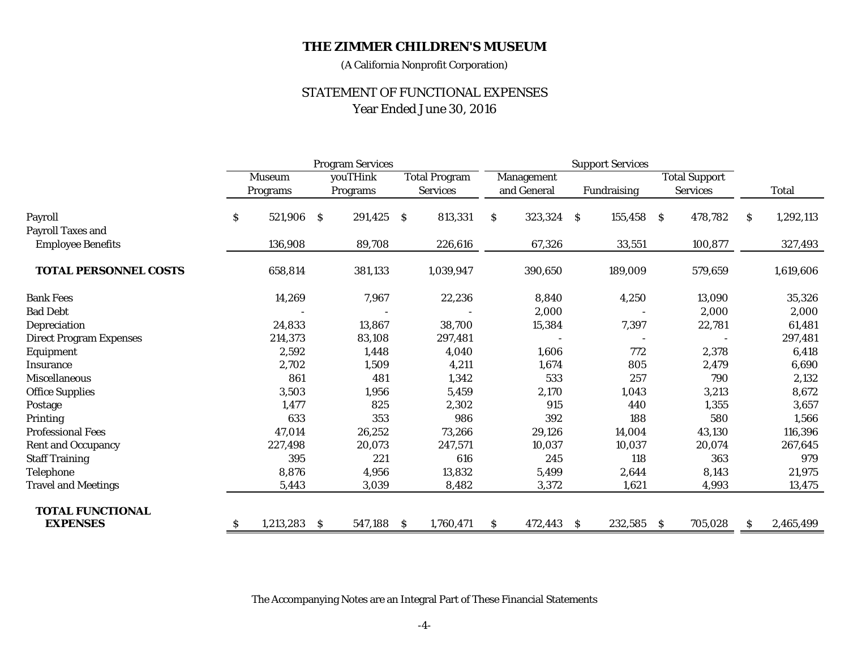(A California Nonprofit Corporation)

# STATEMENT OF FUNCTIONAL EXPENSES Year Ended June 30, 2016

|                                |                           | <b>Program Services</b> |              |          |                      | <b>Support Services</b> |              |             |    |             |                      |                 |    |              |
|--------------------------------|---------------------------|-------------------------|--------------|----------|----------------------|-------------------------|--------------|-------------|----|-------------|----------------------|-----------------|----|--------------|
|                                | <b>Museum</b>             |                         | youTHink     |          | <b>Total Program</b> |                         | Management   |             |    |             | <b>Total Support</b> |                 |    |              |
|                                |                           | Programs                |              | Programs |                      | <b>Services</b>         |              | and General |    | Fundraising |                      | <b>Services</b> |    | <b>Total</b> |
| Payroll                        | $\boldsymbol{\mathsf{S}}$ | 521,906                 | <sub>S</sub> | 291,425  | <sub>S</sub>         | 813,331                 | <sub>S</sub> | 323,324 \$  |    | 155,458 \$  |                      | 478,782         | S. | 1,292,113    |
| <b>Payroll Taxes and</b>       |                           |                         |              |          |                      |                         |              |             |    |             |                      |                 |    |              |
| <b>Employee Benefits</b>       |                           | 136,908                 |              | 89,708   |                      | 226,616                 |              | 67,326      |    | 33,551      |                      | 100,877         |    | 327,493      |
| <b>TOTAL PERSONNEL COSTS</b>   |                           | 658,814                 |              | 381,133  |                      | 1,039,947               |              | 390,650     |    | 189,009     |                      | 579,659         |    | 1,619,606    |
| <b>Bank Fees</b>               |                           | 14,269                  |              | 7,967    |                      | 22,236                  |              | 8,840       |    | 4,250       |                      | 13,090          |    | 35,326       |
| <b>Bad Debt</b>                |                           |                         |              |          |                      |                         |              | 2,000       |    |             |                      | 2,000           |    | 2,000        |
| Depreciation                   |                           | 24,833                  |              | 13,867   |                      | 38,700                  |              | 15,384      |    | 7,397       |                      | 22,781          |    | 61,481       |
| <b>Direct Program Expenses</b> |                           | 214,373                 |              | 83,108   |                      | 297,481                 |              |             |    |             |                      |                 |    | 297,481      |
| Equipment                      |                           | 2,592                   |              | 1,448    |                      | 4,040                   |              | 1,606       |    | 772         |                      | 2,378           |    | 6,418        |
| Insurance                      |                           | 2,702                   |              | 1,509    |                      | 4,211                   |              | 1,674       |    | 805         |                      | 2,479           |    | 6,690        |
| <b>Miscellaneous</b>           |                           | 861                     |              | 481      |                      | 1,342                   |              | 533         |    | 257         |                      | 790             |    | 2,132        |
| <b>Office Supplies</b>         |                           | 3,503                   |              | 1,956    |                      | 5,459                   |              | 2,170       |    | 1,043       |                      | 3,213           |    | 8,672        |
| Postage                        |                           | 1,477                   |              | 825      |                      | 2,302                   |              | 915         |    | 440         |                      | 1,355           |    | 3,657        |
| Printing                       |                           | 633                     |              | 353      |                      | 986                     |              | 392         |    | 188         |                      | 580             |    | 1,566        |
| <b>Professional Fees</b>       |                           | 47,014                  |              | 26,252   |                      | 73,266                  |              | 29,126      |    | 14,004      |                      | 43,130          |    | 116,396      |
| <b>Rent and Occupancy</b>      |                           | 227,498                 |              | 20,073   |                      | 247,571                 |              | 10,037      |    | 10,037      |                      | 20,074          |    | 267,645      |
| <b>Staff Training</b>          |                           | 395                     |              | 221      |                      | 616                     |              | 245         |    | 118         |                      | 363             |    | 979          |
| Telephone                      |                           | 8,876                   |              | 4,956    |                      | 13,832                  |              | 5,499       |    | 2,644       |                      | 8,143           |    | 21,975       |
| <b>Travel and Meetings</b>     |                           | 5,443                   |              | 3,039    |                      | 8,482                   |              | 3,372       |    | 1,621       |                      | 4,993           |    | 13,475       |
| <b>TOTAL FUNCTIONAL</b>        |                           |                         |              |          |                      |                         |              |             |    |             |                      |                 |    |              |
| <b>EXPENSES</b>                | <sub>S</sub>              | 1,213,283               | \$.          | 547,188  | <sub>S</sub>         | 1,760,471               | S.           | 472,443     | S. | 232,585     | -S                   | 705,028         | S  | 2,465,499    |

The Accompanying Notes are an Integral Part of These Financial Statements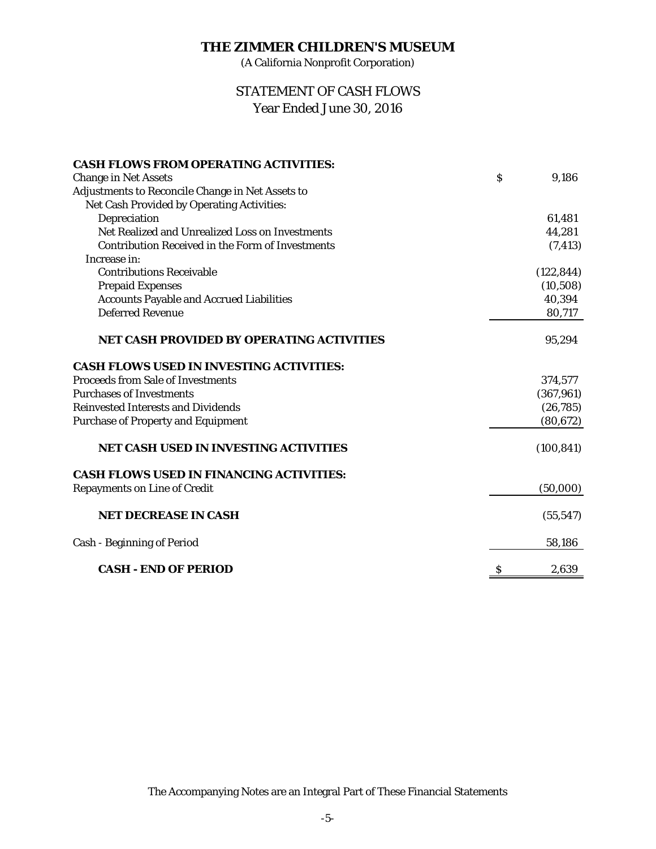(A California Nonprofit Corporation)

# Year Ended June 30, 2016 STATEMENT OF CASH FLOWS

| <b>CASH FLOWS FROM OPERATING ACTIVITIES:</b>            |                           |            |
|---------------------------------------------------------|---------------------------|------------|
| <b>Change in Net Assets</b>                             | $\boldsymbol{\mathsf{S}}$ | 9.186      |
| Adjustments to Reconcile Change in Net Assets to        |                           |            |
| Net Cash Provided by Operating Activities:              |                           |            |
| Depreciation                                            |                           | 61,481     |
| Net Realized and Unrealized Loss on Investments         |                           | 44,281     |
| <b>Contribution Received in the Form of Investments</b> |                           |            |
| Increase in:                                            |                           | (7, 413)   |
|                                                         |                           |            |
| <b>Contributions Receivable</b>                         |                           | (122, 844) |
| <b>Prepaid Expenses</b>                                 |                           | (10, 508)  |
| <b>Accounts Payable and Accrued Liabilities</b>         |                           | 40,394     |
| <b>Deferred Revenue</b>                                 |                           | 80,717     |
| NET CASH PROVIDED BY OPERATING ACTIVITIES               |                           | 95,294     |
| <b>CASH FLOWS USED IN INVESTING ACTIVITIES:</b>         |                           |            |
| <b>Proceeds from Sale of Investments</b>                |                           | 374,577    |
| <b>Purchases of Investments</b>                         |                           | (367, 961) |
| <b>Reinvested Interests and Dividends</b>               |                           | (26, 785)  |
| <b>Purchase of Property and Equipment</b>               |                           | (80, 672)  |
| <b>NET CASH USED IN INVESTING ACTIVITIES</b>            |                           | (100, 841) |
| <b>CASH FLOWS USED IN FINANCING ACTIVITIES:</b>         |                           |            |
| <b>Repayments on Line of Credit</b>                     |                           | (50,000)   |
|                                                         |                           |            |
| <b>NET DECREASE IN CASH</b>                             |                           | (55, 547)  |
| <b>Cash - Beginning of Period</b>                       |                           | 58,186     |
| <b>CASH - END OF PERIOD</b>                             | \$                        | 2.639      |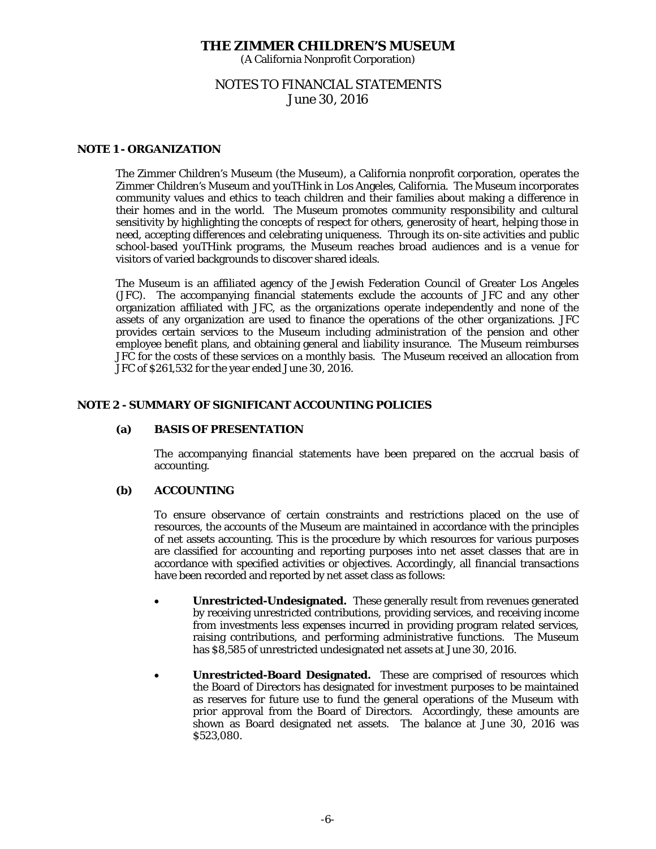(A California Nonprofit Corporation)

# NOTES TO FINANCIAL STATEMENTS June 30, 2016

# **NOTE 1 - ORGANIZATION**

The Zimmer Children's Museum (the Museum), a California nonprofit corporation, operates the *Zimmer Children's Museum* and *youTHink* in Los Angeles, California. The Museum incorporates community values and ethics to teach children and their families about making a difference in their homes and in the world. The Museum promotes community responsibility and cultural sensitivity by highlighting the concepts of respect for others, generosity of heart, helping those in need, accepting differences and celebrating uniqueness. Through its on-site activities and public school-based *youTHink* programs, the Museum reaches broad audiences and is a venue for visitors of varied backgrounds to discover shared ideals.

The Museum is an affiliated agency of the Jewish Federation Council of Greater Los Angeles (JFC). The accompanying financial statements exclude the accounts of JFC and any other organization affiliated with JFC, as the organizations operate independently and none of the assets of any organization are used to finance the operations of the other organizations. JFC provides certain services to the Museum including administration of the pension and other employee benefit plans, and obtaining general and liability insurance. The Museum reimburses JFC for the costs of these services on a monthly basis. The Museum received an allocation from JFC of \$261,532 for the year ended June 30, 2016.

## **NOTE 2 - SUMMARY OF SIGNIFICANT ACCOUNTING POLICIES**

#### **(a) BASIS OF PRESENTATION**

 The accompanying financial statements have been prepared on the accrual basis of accounting.

# **(b) ACCOUNTING**

 To ensure observance of certain constraints and restrictions placed on the use of resources, the accounts of the Museum are maintained in accordance with the principles of net assets accounting. This is the procedure by which resources for various purposes are classified for accounting and reporting purposes into net asset classes that are in accordance with specified activities or objectives. Accordingly, all financial transactions have been recorded and reported by net asset class as follows:

- **Unrestricted-Undesignated.** These generally result from revenues generated by receiving unrestricted contributions, providing services, and receiving income from investments less expenses incurred in providing program related services, raising contributions, and performing administrative functions. The Museum has \$8,585 of unrestricted undesignated net assets at June 30, 2016.
- **Unrestricted-Board Designated.** These are comprised of resources which the Board of Directors has designated for investment purposes to be maintained as reserves for future use to fund the general operations of the Museum with prior approval from the Board of Directors. Accordingly, these amounts are shown as Board designated net assets. The balance at June 30, 2016 was \$523,080.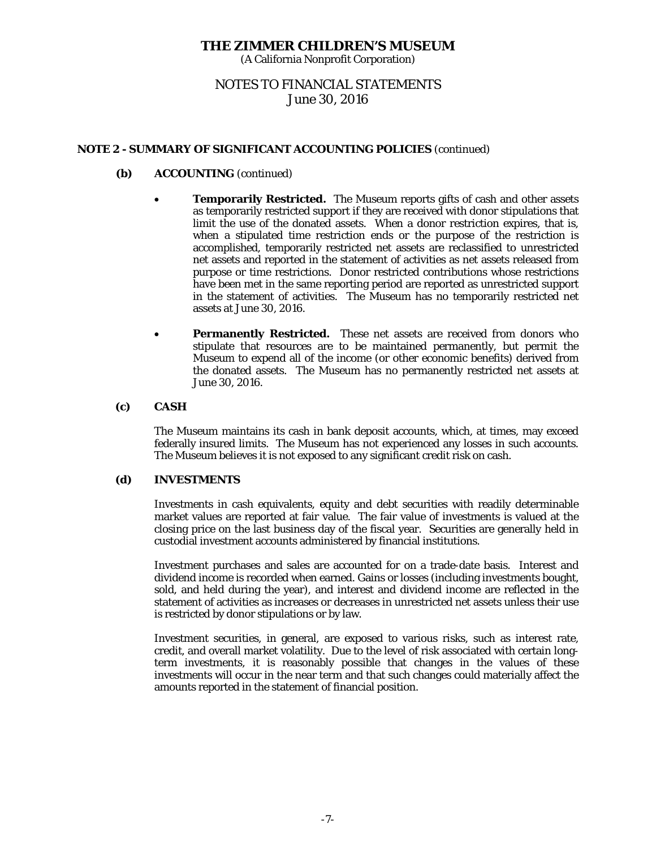(A California Nonprofit Corporation)

# NOTES TO FINANCIAL STATEMENTS June 30, 2016

# **NOTE 2 - SUMMARY OF SIGNIFICANT ACCOUNTING POLICIES** (continued)

# **(b) ACCOUNTING** (continued)

- **Temporarily Restricted.** The Museum reports gifts of cash and other assets as temporarily restricted support if they are received with donor stipulations that limit the use of the donated assets. When a donor restriction expires, that is, when a stipulated time restriction ends or the purpose of the restriction is accomplished, temporarily restricted net assets are reclassified to unrestricted net assets and reported in the statement of activities as net assets released from purpose or time restrictions. Donor restricted contributions whose restrictions have been met in the same reporting period are reported as unrestricted support in the statement of activities. The Museum has no temporarily restricted net assets at June 30, 2016.
- **Permanently Restricted.** These net assets are received from donors who stipulate that resources are to be maintained permanently, but permit the Museum to expend all of the income (or other economic benefits) derived from the donated assets. The Museum has no permanently restricted net assets at June 30, 2016.

## **(c) CASH**

The Museum maintains its cash in bank deposit accounts, which, at times, may exceed federally insured limits. The Museum has not experienced any losses in such accounts. The Museum believes it is not exposed to any significant credit risk on cash.

## **(d) INVESTMENTS**

Investments in cash equivalents, equity and debt securities with readily determinable market values are reported at fair value. The fair value of investments is valued at the closing price on the last business day of the fiscal year. Securities are generally held in custodial investment accounts administered by financial institutions.

Investment purchases and sales are accounted for on a trade-date basis. Interest and dividend income is recorded when earned. Gains or losses (including investments bought, sold, and held during the year), and interest and dividend income are reflected in the statement of activities as increases or decreases in unrestricted net assets unless their use is restricted by donor stipulations or by law.

Investment securities, in general, are exposed to various risks, such as interest rate, credit, and overall market volatility. Due to the level of risk associated with certain longterm investments, it is reasonably possible that changes in the values of these investments will occur in the near term and that such changes could materially affect the amounts reported in the statement of financial position.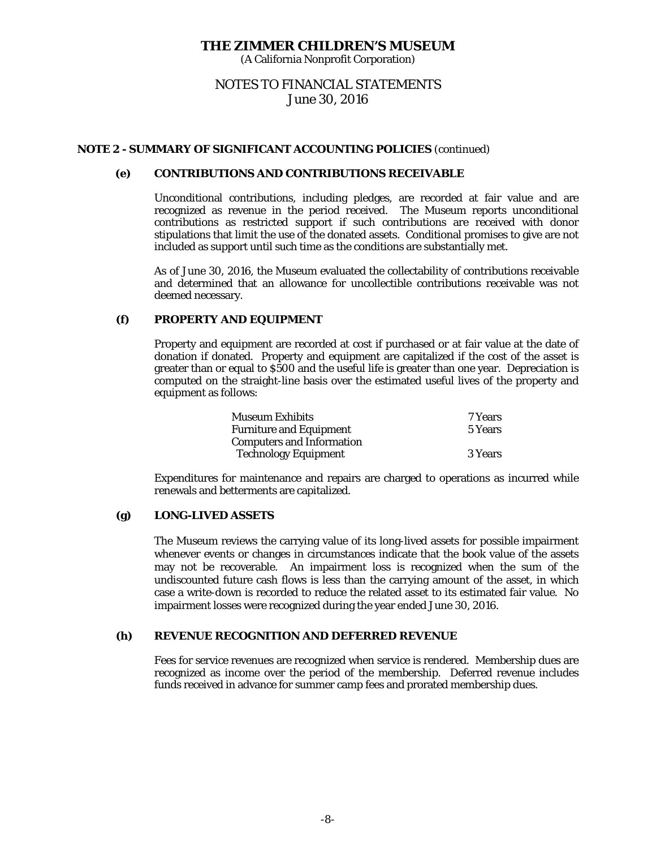(A California Nonprofit Corporation)

# NOTES TO FINANCIAL STATEMENTS June 30, 2016

## **NOTE 2 - SUMMARY OF SIGNIFICANT ACCOUNTING POLICIES** (continued)

# **(e) CONTRIBUTIONS AND CONTRIBUTIONS RECEIVABLE**

Unconditional contributions, including pledges, are recorded at fair value and are recognized as revenue in the period received. The Museum reports unconditional contributions as restricted support if such contributions are received with donor stipulations that limit the use of the donated assets. Conditional promises to give are not included as support until such time as the conditions are substantially met.

As of June 30, 2016, the Museum evaluated the collectability of contributions receivable and determined that an allowance for uncollectible contributions receivable was not deemed necessary.

#### **(f) PROPERTY AND EQUIPMENT**

Property and equipment are recorded at cost if purchased or at fair value at the date of donation if donated. Property and equipment are capitalized if the cost of the asset is greater than or equal to \$500 and the useful life is greater than one year. Depreciation is computed on the straight-line basis over the estimated useful lives of the property and equipment as follows:

| <b>Museum Exhibits</b>           | 7 Years |
|----------------------------------|---------|
| <b>Furniture and Equipment</b>   | 5 Years |
| <b>Computers and Information</b> |         |
| <b>Technology Equipment</b>      | 3 Years |

Expenditures for maintenance and repairs are charged to operations as incurred while renewals and betterments are capitalized.

## **(g) LONG-LIVED ASSETS**

The Museum reviews the carrying value of its long-lived assets for possible impairment whenever events or changes in circumstances indicate that the book value of the assets may not be recoverable. An impairment loss is recognized when the sum of the undiscounted future cash flows is less than the carrying amount of the asset, in which case a write-down is recorded to reduce the related asset to its estimated fair value. No impairment losses were recognized during the year ended June 30, 2016.

# **(h) REVENUE RECOGNITION AND DEFERRED REVENUE**

Fees for service revenues are recognized when service is rendered. Membership dues are recognized as income over the period of the membership. Deferred revenue includes funds received in advance for summer camp fees and prorated membership dues.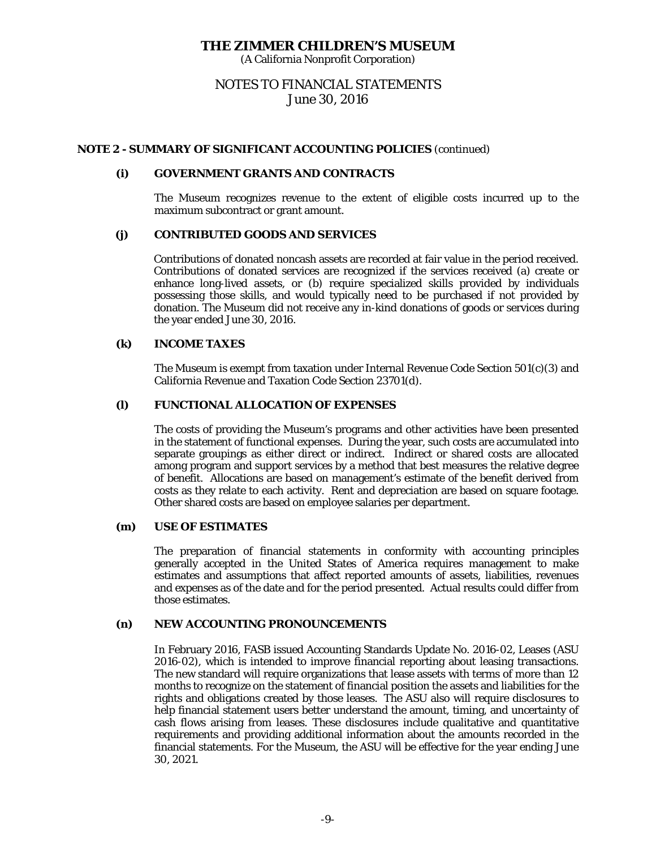(A California Nonprofit Corporation)

# NOTES TO FINANCIAL STATEMENTS June 30, 2016

#### **NOTE 2 - SUMMARY OF SIGNIFICANT ACCOUNTING POLICIES** (continued)

#### **(i) GOVERNMENT GRANTS AND CONTRACTS**

The Museum recognizes revenue to the extent of eligible costs incurred up to the maximum subcontract or grant amount.

#### **(j) CONTRIBUTED GOODS AND SERVICES**

Contributions of donated noncash assets are recorded at fair value in the period received. Contributions of donated services are recognized if the services received (a) create or enhance long-lived assets, or (b) require specialized skills provided by individuals possessing those skills, and would typically need to be purchased if not provided by donation. The Museum did not receive any in-kind donations of goods or services during the year ended June 30, 2016.

#### **(k) INCOME TAXES**

The Museum is exempt from taxation under Internal Revenue Code Section 501(c)(3) and California Revenue and Taxation Code Section 23701(d).

#### **(l) FUNCTIONAL ALLOCATION OF EXPENSES**

The costs of providing the Museum's programs and other activities have been presented in the statement of functional expenses. During the year, such costs are accumulated into separate groupings as either direct or indirect. Indirect or shared costs are allocated among program and support services by a method that best measures the relative degree of benefit. Allocations are based on management's estimate of the benefit derived from costs as they relate to each activity. Rent and depreciation are based on square footage. Other shared costs are based on employee salaries per department.

#### **(m) USE OF ESTIMATES**

The preparation of financial statements in conformity with accounting principles generally accepted in the United States of America requires management to make estimates and assumptions that affect reported amounts of assets, liabilities, revenues and expenses as of the date and for the period presented. Actual results could differ from those estimates.

#### **(n) NEW ACCOUNTING PRONOUNCEMENTS**

In February 2016, FASB issued Accounting Standards Update No. 2016-02, Leases (ASU 2016-02), which is intended to improve financial reporting about leasing transactions. The new standard will require organizations that lease assets with terms of more than 12 months to recognize on the statement of financial position the assets and liabilities for the rights and obligations created by those leases. The ASU also will require disclosures to help financial statement users better understand the amount, timing, and uncertainty of cash flows arising from leases. These disclosures include qualitative and quantitative requirements and providing additional information about the amounts recorded in the financial statements. For the Museum, the ASU will be effective for the year ending June 30, 2021.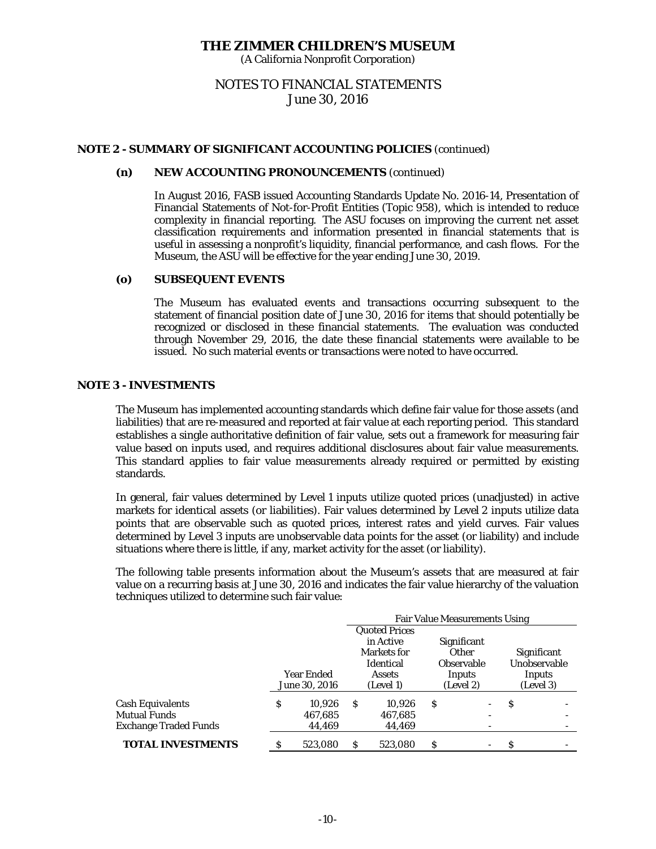(A California Nonprofit Corporation)

# NOTES TO FINANCIAL STATEMENTS June 30, 2016

# **NOTE 2 - SUMMARY OF SIGNIFICANT ACCOUNTING POLICIES** (continued)

#### **(n) NEW ACCOUNTING PRONOUNCEMENTS** (continued)

In August 2016, FASB issued Accounting Standards Update No. 2016-14, Presentation of Financial Statements of Not-for-Profit Entities (Topic 958), which is intended to reduce complexity in financial reporting. The ASU focuses on improving the current net asset classification requirements and information presented in financial statements that is useful in assessing a nonprofit's liquidity, financial performance, and cash flows. For the Museum, the ASU will be effective for the year ending June 30, 2019.

#### **(o) SUBSEQUENT EVENTS**

The Museum has evaluated events and transactions occurring subsequent to the statement of financial position date of June 30, 2016 for items that should potentially be recognized or disclosed in these financial statements. The evaluation was conducted through November 29, 2016, the date these financial statements were available to be issued. No such material events or transactions were noted to have occurred.

#### **NOTE 3 - INVESTMENTS**

 The Museum has implemented accounting standards which define fair value for those assets (and liabilities) that are re-measured and reported at fair value at each reporting period. This standard establishes a single authoritative definition of fair value, sets out a framework for measuring fair value based on inputs used, and requires additional disclosures about fair value measurements. This standard applies to fair value measurements already required or permitted by existing standards.

 In general, fair values determined by Level 1 inputs utilize quoted prices (unadjusted) in active markets for identical assets (or liabilities). Fair values determined by Level 2 inputs utilize data points that are observable such as quoted prices, interest rates and yield curves. Fair values determined by Level 3 inputs are unobservable data points for the asset (or liability) and include situations where there is little, if any, market activity for the asset (or liability).

The following table presents information about the Museum's assets that are measured at fair value on a recurring basis at June 30, 2016 and indicates the fair value hierarchy of the valuation techniques utilized to determine such fair value:

|                                                                                |    |                             | <b>Fair Value Measurements Using</b> |                                                                                                    |   |                                                                                  |   |                                                           |
|--------------------------------------------------------------------------------|----|-----------------------------|--------------------------------------|----------------------------------------------------------------------------------------------------|---|----------------------------------------------------------------------------------|---|-----------------------------------------------------------|
|                                                                                |    | Year Ended<br>June 30, 2016 |                                      | <b>Quoted Prices</b><br>in Active<br><b>Markets for</b><br>Identical<br><b>Assets</b><br>(Level 1) |   | Significant<br>Other<br><b>Observable</b><br>Inputs<br>(Level 2)                 |   | <b>Significant</b><br>Unobservable<br>Inputs<br>(Level 3) |
| <b>Cash Equivalents</b><br><b>Mutual Funds</b><br><b>Exchange Traded Funds</b> | \$ | 10.926<br>467.685<br>44,469 | <sup>S</sup>                         | 10.926<br>467,685<br>44,469                                                                        | S | $\overline{\phantom{a}}$<br>$\overline{\phantom{0}}$<br>$\overline{\phantom{m}}$ | S |                                                           |
| <b>TOTAL INVESTMENTS</b>                                                       | S  | 523,080                     | S                                    | 523.080                                                                                            | S | $\overline{\phantom{a}}$                                                         | S |                                                           |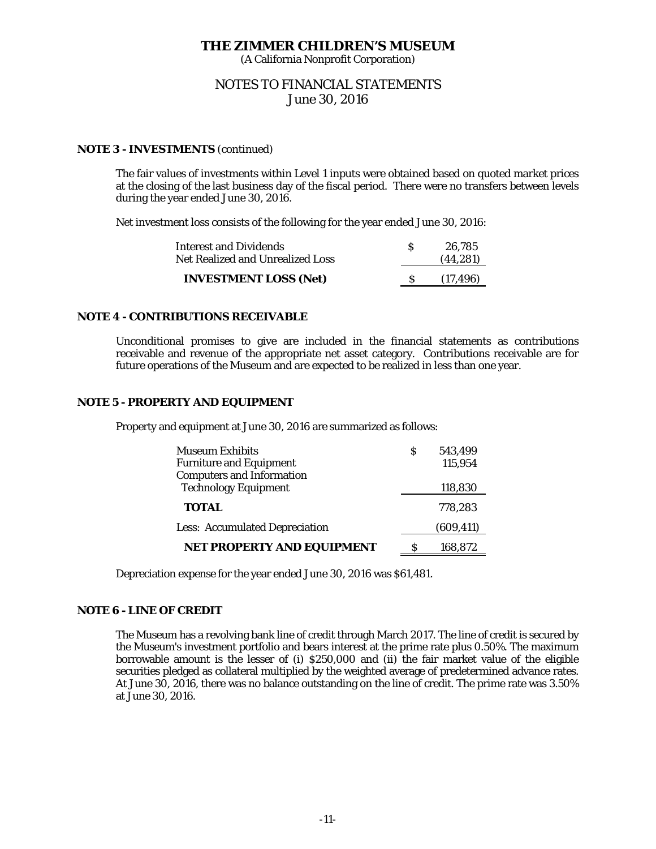(A California Nonprofit Corporation)

# NOTES TO FINANCIAL STATEMENTS June 30, 2016

## **NOTE 3 - INVESTMENTS** (continued)

The fair values of investments within Level 1 inputs were obtained based on quoted market prices at the closing of the last business day of the fiscal period. There were no transfers between levels during the year ended June 30, 2016.

Net investment loss consists of the following for the year ended June 30, 2016:

| <b>Interest and Dividends</b><br>Net Realized and Unrealized Loss | 26.785<br>(44, 281) |
|-------------------------------------------------------------------|---------------------|
| <b>INVESTMENT LOSS (Net)</b>                                      | (17.496)            |

#### **NOTE 4 - CONTRIBUTIONS RECEIVABLE**

Unconditional promises to give are included in the financial statements as contributions receivable and revenue of the appropriate net asset category. Contributions receivable are for future operations of the Museum and are expected to be realized in less than one year.

## **NOTE 5 - PROPERTY AND EQUIPMENT**

Property and equipment at June 30, 2016 are summarized as follows:

| <b>Museum Exhibits</b>                | S | 543.499    |
|---------------------------------------|---|------------|
| <b>Furniture and Equipment</b>        |   | 115,954    |
| <b>Computers and Information</b>      |   |            |
| <b>Technology Equipment</b>           |   | 118,830    |
| <b>TOTAL</b>                          |   | 778,283    |
| <b>Less: Accumulated Depreciation</b> |   | (609, 411) |
| <b>NET PROPERTY AND EQUIPMENT</b>     | Я | 168,872    |

Depreciation expense for the year ended June 30, 2016 was \$61,481.

#### **NOTE 6 - LINE OF CREDIT**

 The Museum has a revolving bank line of credit through March 2017. The line of credit is secured by the Museum's investment portfolio and bears interest at the prime rate plus 0.50%. The maximum borrowable amount is the lesser of (i) \$250,000 and (ii) the fair market value of the eligible securities pledged as collateral multiplied by the weighted average of predetermined advance rates. At June 30, 2016, there was no balance outstanding on the line of credit. The prime rate was 3.50% at June 30, 2016.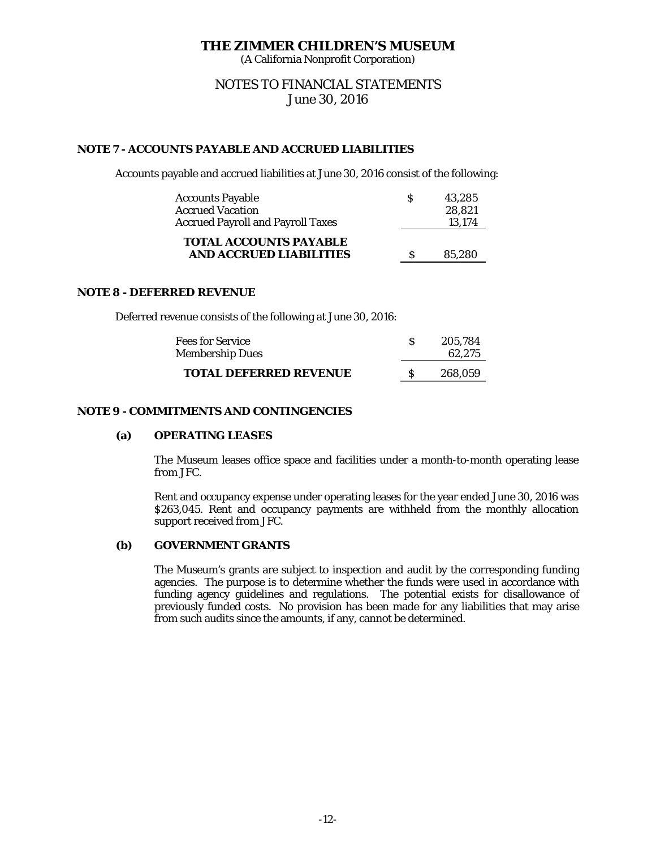(A California Nonprofit Corporation)

# NOTES TO FINANCIAL STATEMENTS June 30, 2016

# **NOTE 7 - ACCOUNTS PAYABLE AND ACCRUED LIABILITIES**

Accounts payable and accrued liabilities at June 30, 2016 consist of the following:

| <b>Accounts Payable</b>                                         | S | 43.285 |
|-----------------------------------------------------------------|---|--------|
| <b>Accrued Vacation</b>                                         |   | 28,821 |
| <b>Accrued Payroll and Payroll Taxes</b>                        |   | 13.174 |
| <b>TOTAL ACCOUNTS PAYABLE</b><br><b>AND ACCRUED LIABILITIES</b> |   | 85.280 |

## **NOTE 8 - DEFERRED REVENUE**

Deferred revenue consists of the following at June 30, 2016:

| <b>Fees for Service</b><br><b>Membership Dues</b> | 205.784<br>62.275 |
|---------------------------------------------------|-------------------|
| <b>TOTAL DEFERRED REVENUE</b>                     | 268.059           |

# **NOTE 9 - COMMITMENTS AND CONTINGENCIES**

## **(a) OPERATING LEASES**

The Museum leases office space and facilities under a month-to-month operating lease from JFC.

Rent and occupancy expense under operating leases for the year ended June 30, 2016 was \$263,045. Rent and occupancy payments are withheld from the monthly allocation support received from JFC.

# **(b) GOVERNMENT GRANTS**

The Museum's grants are subject to inspection and audit by the corresponding funding agencies. The purpose is to determine whether the funds were used in accordance with funding agency guidelines and regulations. The potential exists for disallowance of previously funded costs. No provision has been made for any liabilities that may arise from such audits since the amounts, if any, cannot be determined.